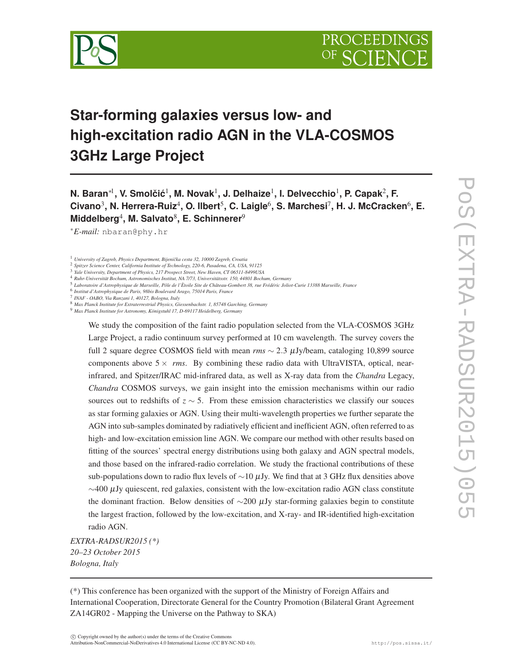

# **Star-forming galaxies versus low- and high-excitation radio AGN in the VLA-COSMOS 3GHz Large Project**

**N. Baran∗** $^{\text{!1}}$ **, V. Smolčić** $^{\text{!1}}$ **, M. Novak** $^{\text{!1}}$ **, J. Delhaize** $^{\text{!1}}$ **, I. Delvecchio** $^{\text{!1}}$ **, P. Capak** $^{\text{2}}$ **, F. Civano**<sup>3</sup> **, N. Herrera-Ruiz**<sup>4</sup> **, O. Ilbert**<sup>5</sup> **, C. Laigle**<sup>6</sup> **, S. Marchesi**<sup>7</sup> **, H. J. McCracken**<sup>6</sup> **, E. Middelberg**<sup>4</sup> **, M. Salvato**<sup>8</sup> **, E. Schinnerer**<sup>9</sup>

<sup>∗</sup>*E-mail:* nbaran@phy.hr

1 *University of Zagreb, Physics Department, Bijeniˇcka cesta 32, 10000 Zagreb, Croatia*

6 *Institut d'Astrophysique de Paris, 98bis Boulevard Arago, 75014 Paris, France*

7 *INAF - OABO, Via Ranzani 1, 40127, Bologna, Italy*

<sup>9</sup> *Max Planck Institute for Astronomy, Königstuhl 17, D-69117 Heidelberg, Germany*

We study the composition of the faint radio population selected from the VLA-COSMOS 3GHz Large Project, a radio continuum survey performed at 10 cm wavelength. The survey covers the full 2 square degree COSMOS field with mean *rms* ∼ 2.3 <sup>µ</sup>Jy/beam, cataloging 10,899 source components above  $5 \times rms$ . By combining these radio data with UltraVISTA, optical, nearinfrared, and Spitzer/IRAC mid-infrared data, as well as X-ray data from the *Chandra* Legacy, *Chandra* COSMOS surveys, we gain insight into the emission mechanisms within our radio sources out to redshifts of *z* ∼ 5. From these emission characteristics we classify our souces as star forming galaxies or AGN. Using their multi-wavelength properties we further separate the AGN into sub-samples dominated by radiatively efficient and inefficient AGN, often referred to as high- and low-excitation emission line AGN. We compare our method with other results based on fitting of the sources' spectral energy distributions using both galaxy and AGN spectral models, and those based on the infrared-radio correlation. We study the fractional contributions of these sub-populations down to radio flux levels of  $\sim$ 10 µJy. We find that at 3 GHz flux densities above  $\sim$ 400 µJy quiescent, red galaxies, consistent with the low-excitation radio AGN class constitute the dominant fraction. Below densities of  $\sim$ 200 µJy star-forming galaxies begin to constitute the largest fraction, followed by the low-excitation, and X-ray- and IR-identified high-excitation radio AGN.

*EXTRA-RADSUR2015 (\*) 20–23 October 2015 Bologna, Italy*

(\*) This conference has been organized with the support of the Ministry of Foreign Affairs and International Cooperation, Directorate General for the Country Promotion (Bilateral Grant Agreement ZA14GR02 - Mapping the Universe on the Pathway to SKA)

<sup>2</sup> *Spitzer Science Center, California Institute of Technology, 220-6, Pasadena, CA, USA, 91125*

<sup>3</sup> *Yale University, Department of Physics, 217 Prospect Street, New Haven, CT 06511-8499USA*

<sup>4</sup> *Ruhr-Universität Bochum, Astronomisches Institut, NA 7/73, Universitätsstr. 150, 44801 Bochum, Germany*

<sup>5</sup> *Laboratoire d'Astrophysique de Marseille, Pôle de l'Ètoile Site de Château-Gombert 38, rue Frédéric Joliot-Curie 13388 Marseille, France*

<sup>8</sup> *Max Planck Institute for Extraterrestrial Physics, Giessenbachstr. 1, 85748 Garching, Germany*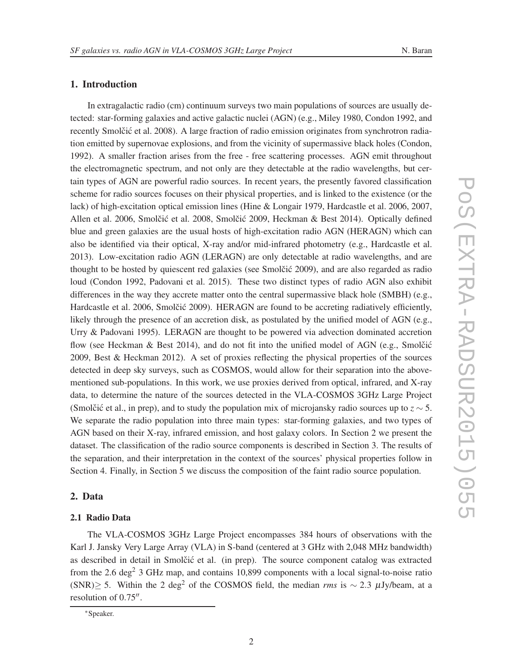# 1. Introduction

In extragalactic radio (cm) continuum surveys two main populations of sources are usually detected: star-forming galaxies and active galactic nuclei (AGN) (e.g., Miley 1980, Condon 1992, and recently Smolčić et al. 2008). A large fraction of radio emission originates from synchrotron radiation emitted by supernovae explosions, and from the vicinity of supermassive black holes (Condon, 1992). A smaller fraction arises from the free - free scattering processes. AGN emit throughout the electromagnetic spectrum, and not only are they detectable at the radio wavelengths, but certain types of AGN are powerful radio sources. In recent years, the presently favored classification scheme for radio sources focuses on their physical properties, and is linked to the existence (or the lack) of high-excitation optical emission lines (Hine & Longair 1979, Hardcastle et al. 2006, 2007, Allen et al. 2006, Smolčić et al. 2008, Smolčić 2009, Heckman & Best 2014). Optically defined blue and green galaxies are the usual hosts of high-excitation radio AGN (HERAGN) which can also be identified via their optical, X-ray and/or mid-infrared photometry (e.g., Hardcastle et al. 2013). Low-excitation radio AGN (LERAGN) are only detectable at radio wavelengths, and are thought to be hosted by quiescent red galaxies (see Smolčić 2009), and are also regarded as radio loud (Condon 1992, Padovani et al. 2015). These two distinct types of radio AGN also exhibit differences in the way they accrete matter onto the central supermassive black hole (SMBH) (e.g., Hardcastle et al. 2006, Smolčić 2009). HERAGN are found to be accreting radiatively efficiently, likely through the presence of an accretion disk, as postulated by the unified model of AGN (e.g., Urry & Padovani 1995). LERAGN are thought to be powered via advection dominated accretion flow (see Heckman & Best 2014), and do not fit into the unified model of AGN (e.g., Smolcić 2009, Best & Heckman 2012). A set of proxies reflecting the physical properties of the sources detected in deep sky surveys, such as COSMOS, would allow for their separation into the abovementioned sub-populations. In this work, we use proxies derived from optical, infrared, and X-ray data, to determine the nature of the sources detected in the VLA-COSMOS 3GHz Large Project (Smolčić et al., in prep), and to study the population mix of microjansky radio sources up to  $z \sim 5$ . We separate the radio population into three main types: star-forming galaxies, and two types of AGN based on their X-ray, infrared emission, and host galaxy colors. In Section 2 we present the dataset. The classification of the radio source components is described in Section 3. The results of the separation, and their interpretation in the context of the sources' physical properties follow in Section 4. Finally, in Section 5 we discuss the composition of the faint radio source population.

# 2. Data

# 2.1 Radio Data

The VLA-COSMOS 3GHz Large Project encompasses 384 hours of observations with the Karl J. Jansky Very Large Array (VLA) in S-band (centered at 3 GHz with 2,048 MHz bandwidth) as described in detail in Smolčić et al. (in prep). The source component catalog was extracted from the 2.6 deg<sup>2</sup> 3 GHz map, and contains 10,899 components with a local signal-to-noise ratio (SNR)≥ 5. Within the 2 deg<sup>2</sup> of the COSMOS field, the median *rms* is  $\sim$  2.3  $\mu$ Jy/beam, at a resolution of 0.75".

<sup>∗</sup>Speaker.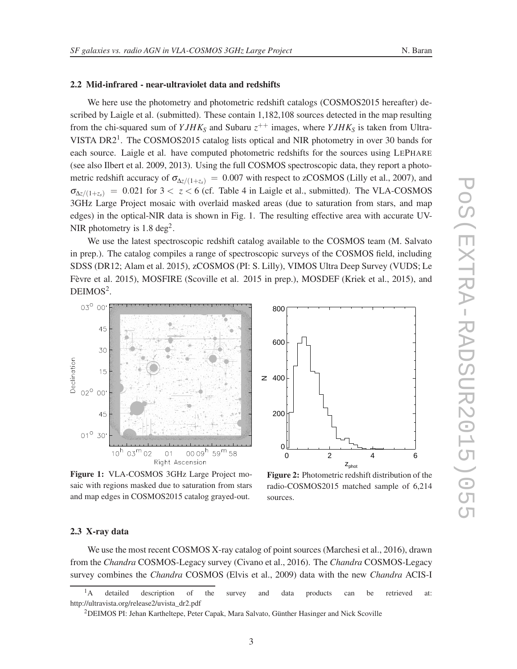# 2.2 Mid-infrared - near-ultraviolet data and redshifts

We here use the photometry and photometric redshift catalogs (COSMOS2015 hereafter) described by Laigle et al. (submitted). These contain 1,182,108 sources detected in the map resulting from the chi-squared sum of  $YJHK<sub>S</sub>$  and Subaru  $z^{++}$  images, where  $YJHK<sub>S</sub>$  is taken from Ultra-VISTA DR2<sup>1</sup>. The COSMOS2015 catalog lists optical and NIR photometry in over 30 bands for each source. Laigle et al. have computed photometric redshifts for the sources using LEPHARE (see also Ilbert et al. 2009, 2013). Using the full COSMOS spectroscopic data, they report a photometric redshift accuracy of  $\sigma_{\Delta z/(1+z_s)} = 0.007$  with respect to zCOSMOS (Lilly et al., 2007), and  $\sigma_{\Delta z/(1+z_s)} = 0.021$  for  $3 < z < 6$  (cf. Table 4 in Laigle et al., submitted). The VLA-COSMOS 3GHz Large Project mosaic with overlaid masked areas (due to saturation from stars, and map edges) in the optical-NIR data is shown in Fig. 1. The resulting effective area with accurate UV-NIR photometry is  $1.8 \text{ deg}^2$ .

We use the latest spectroscopic redshift catalog available to the COSMOS team (M. Salvato in prep.). The catalog compiles a range of spectroscopic surveys of the COSMOS field, including SDSS (DR12; Alam et al. 2015), zCOSMOS (PI: S. Lilly), VIMOS Ultra Deep Survey (VUDS; Le Fèvre et al. 2015), MOSFIRE (Scoville et al. 2015 in prep.), MOSDEF (Kriek et al., 2015), and  $DEIMOS<sup>2</sup>$ .



Figure 1: VLA-COSMOS 3GHz Large Project mosaic with regions masked due to saturation from stars and map edges in COSMOS2015 catalog grayed-out.



Figure 2: Photometric redshift distribution of the radio-COSMOS2015 matched sample of 6,214 sources.

#### 2.3 X-ray data

We use the most recent COSMOS X-ray catalog of point sources (Marchesi et al., 2016), drawn from the *Chandra* COSMOS-Legacy survey (Civano et al., 2016). The *Chandra* COSMOS-Legacy survey combines the *Chandra* COSMOS (Elvis et al., 2009) data with the new *Chandra* ACIS-I

<sup>&</sup>lt;sup>1</sup>A detailed description of the survey and data products can be retrieved at: http://ultravista.org/release2/uvista\_dr2.pdf

<sup>2</sup>DEIMOS PI: Jehan Kartheltepe, Peter Capak, Mara Salvato, Günther Hasinger and Nick Scoville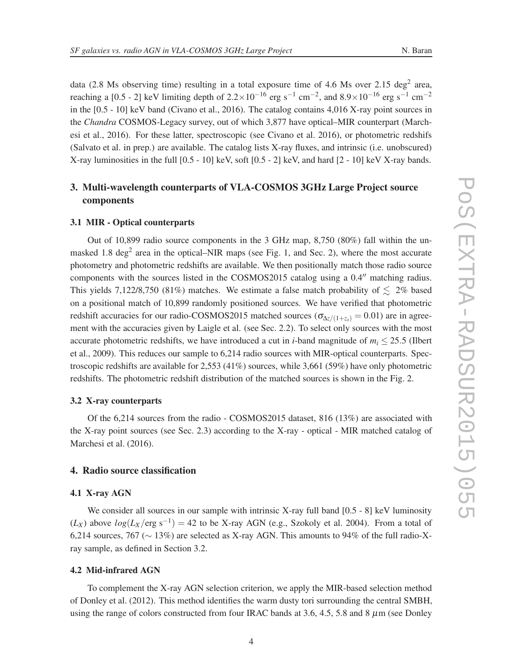data (2.8 Ms observing time) resulting in a total exposure time of 4.6 Ms over 2.15 deg<sup>2</sup> area, reaching a [0.5 - 2] keV limiting depth of  $2.2 \times 10^{-16}$  erg s<sup>-1</sup> cm<sup>-2</sup>, and  $8.9 \times 10^{-16}$  erg s<sup>-1</sup> cm<sup>-2</sup> in the [0.5 - 10] keV band (Civano et al., 2016). The catalog contains 4,016 X-ray point sources in the *Chandra* COSMOS-Legacy survey, out of which 3,877 have optical–MIR counterpart (Marchesi et al., 2016). For these latter, spectroscopic (see Civano et al. 2016), or photometric redshifs (Salvato et al. in prep.) are available. The catalog lists X-ray fluxes, and intrinsic (i.e. unobscured) X-ray luminosities in the full [0.5 - 10] keV, soft [0.5 - 2] keV, and hard [2 - 10] keV X-ray bands.

# 3. Multi-wavelength counterparts of VLA-COSMOS 3GHz Large Project source components

## 3.1 MIR - Optical counterparts

Out of 10,899 radio source components in the 3 GHz map, 8,750 (80%) fall within the unmasked 1.8 deg<sup>2</sup> area in the optical–NIR maps (see Fig. 1, and Sec. 2), where the most accurate photometry and photometric redshifts are available. We then positionally match those radio source components with the sources listed in the COSMOS2015 catalog using a 0.4′′ matching radius. This yields 7,122/8,750 (81%) matches. We estimate a false match probability of  $\leq 2\%$  based on a positional match of 10,899 randomly positioned sources. We have verified that photometric redshift accuracies for our radio-COSMOS2015 matched sources ( $\sigma_{\Delta z/(1+z_c)} = 0.01$ ) are in agreement with the accuracies given by Laigle et al. (see Sec. 2.2). To select only sources with the most accurate photometric redshifts, we have introduced a cut in *i*-band magnitude of  $m_i \leq 25.5$  (Ilbert et al., 2009). This reduces our sample to 6,214 radio sources with MIR-optical counterparts. Spectroscopic redshifts are available for 2,553 (41%) sources, while 3,661 (59%) have only photometric redshifts. The photometric redshift distribution of the matched sources is shown in the Fig. 2.

#### 3.2 X-ray counterparts

Of the 6,214 sources from the radio - COSMOS2015 dataset, 816 (13%) are associated with the X-ray point sources (see Sec. 2.3) according to the X-ray - optical - MIR matched catalog of Marchesi et al. (2016).

## 4. Radio source classification

#### 4.1 X-ray AGN

We consider all sources in our sample with intrinsic X-ray full band  $[0.5 - 8]$  keV luminosity  $(L_X)$  above  $log(L_X / erg s^{-1}) = 42$  to be X-ray AGN (e.g., Szokoly et al. 2004). From a total of 6,214 sources, 767 (∼ 13%) are selected as X-ray AGN. This amounts to 94% of the full radio-Xray sample, as defined in Section 3.2.

## 4.2 Mid-infrared AGN

To complement the X-ray AGN selection criterion, we apply the MIR-based selection method of Donley et al. (2012). This method identifies the warm dusty tori surrounding the central SMBH, using the range of colors constructed from four IRAC bands at 3.6, 4.5, 5.8 and 8  $\mu$ m (see Donley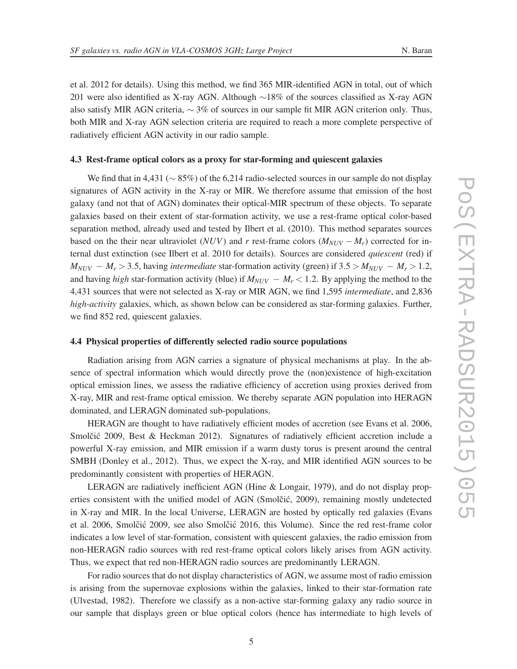et al. 2012 for details). Using this method, we find 365 MIR-identified AGN in total, out of which 201 were also identified as X-ray AGN. Although ∼18% of the sources classified as X-ray AGN also satisfy MIR AGN criteria,  $\sim$  3% of sources in our sample fit MIR AGN criterion only. Thus, both MIR and X-ray AGN selection criteria are required to reach a more complete perspective of radiatively efficient AGN activity in our radio sample.

#### 4.3 Rest-frame optical colors as a proxy for star-forming and quiescent galaxies

We find that in 4,431 ( $\sim$  85%) of the 6,214 radio-selected sources in our sample do not display signatures of AGN activity in the X-ray or MIR. We therefore assume that emission of the host galaxy (and not that of AGN) dominates their optical-MIR spectrum of these objects. To separate galaxies based on their extent of star-formation activity, we use a rest-frame optical color-based separation method, already used and tested by Ilbert et al. (2010). This method separates sources based on the their near ultraviolet (*NUV*) and *r* rest-frame colors  $(M_{NUV} - M_r)$  corrected for internal dust extinction (see Ilbert et al. 2010 for details). Sources are considered *quiescent* (red) if  $M_{NUV} - M_r > 3.5$ , having *intermediate* star-formation activity (green) if  $3.5 > M_{NUV} - M_r > 1.2$ , and having *high* star-formation activity (blue) if  $M_{NUV} - M_r < 1.2$ . By applying the method to the 4,431 sources that were not selected as X-ray or MIR AGN, we find 1,595 *intermediate*, and 2,836 *high-activity* galaxies, which, as shown below can be considered as star-forming galaxies. Further, we find 852 red, quiescent galaxies.

#### 4.4 Physical properties of differently selected radio source populations

Radiation arising from AGN carries a signature of physical mechanisms at play. In the absence of spectral information which would directly prove the (non)existence of high-excitation optical emission lines, we assess the radiative efficiency of accretion using proxies derived from X-ray, MIR and rest-frame optical emission. We thereby separate AGN population into HERAGN dominated, and LERAGN dominated sub-populations.

HERAGN are thought to have radiatively efficient modes of accretion (see Evans et al. 2006, Smolčić 2009, Best & Heckman 2012). Signatures of radiatively efficient accretion include a powerful X-ray emission, and MIR emission if a warm dusty torus is present around the central SMBH (Donley et al., 2012). Thus, we expect the X-ray, and MIR identified AGN sources to be predominantly consistent with properties of HERAGN.

LERAGN are radiatively inefficient AGN (Hine & Longair, 1979), and do not display properties consistent with the unified model of AGN (Smolčić, 2009), remaining mostly undetected in X-ray and MIR. In the local Universe, LERAGN are hosted by optically red galaxies (Evans et al. 2006, Smolčić 2009, see also Smolčić 2016, this Volume). Since the red rest-frame color indicates a low level of star-formation, consistent with quiescent galaxies, the radio emission from non-HERAGN radio sources with red rest-frame optical colors likely arises from AGN activity. Thus, we expect that red non-HERAGN radio sources are predominantly LERAGN.

For radio sources that do not display characteristics of AGN, we assume most of radio emission is arising from the supernovae explosions within the galaxies, linked to their star-formation rate (Ulvestad, 1982). Therefore we classify as a non-active star-forming galaxy any radio source in our sample that displays green or blue optical colors (hence has intermediate to high levels of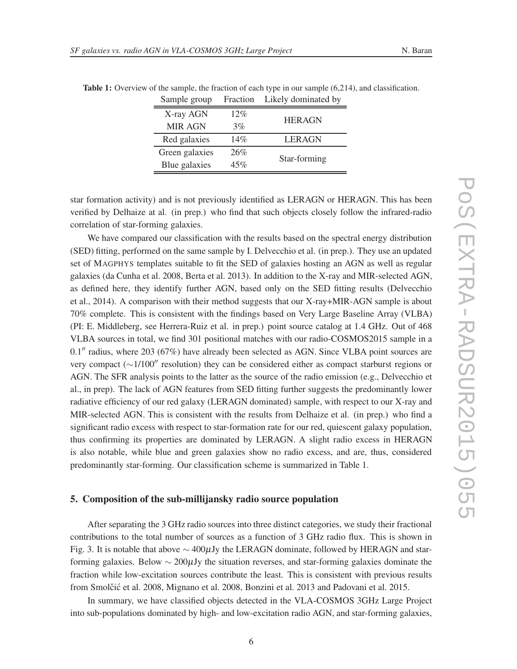| Sample group   | Fraction | Likely dominated by |  |
|----------------|----------|---------------------|--|
| X-ray AGN      | 12%      | <b>HERAGN</b>       |  |
| <b>MIR AGN</b> | 3%       |                     |  |
| Red galaxies   | 14%      | <b>LERAGN</b>       |  |
| Green galaxies | 26%      | Star-forming        |  |
| Blue galaxies  | 45%      |                     |  |

Table 1: Overview of the sample, the fraction of each type in our sample (6,214), and classification.

star formation activity) and is not previously identified as LERAGN or HERAGN. This has been verified by Delhaize at al. (in prep.) who find that such objects closely follow the infrared-radio correlation of star-forming galaxies.

We have compared our classification with the results based on the spectral energy distribution (SED) fitting, performed on the same sample by I. Delvecchio et al. (in prep.). They use an updated set of MAGPHYS templates suitable to fit the SED of galaxies hosting an AGN as well as regular galaxies (da Cunha et al. 2008, Berta et al. 2013). In addition to the X-ray and MIR-selected AGN, as defined here, they identify further AGN, based only on the SED fitting results (Delvecchio et al., 2014). A comparison with their method suggests that our X-ray+MIR-AGN sample is about 70% complete. This is consistent with the findings based on Very Large Baseline Array (VLBA) (PI: E. Middleberg, see Herrera-Ruiz et al. in prep.) point source catalog at 1.4 GHz. Out of 468 VLBA sources in total, we find 301 positional matches with our radio-COSMOS2015 sample in a 0.1′′ radius, where 203 (67%) have already been selected as AGN. Since VLBA point sources are very compact (∼1/100′′ resolution) they can be considered either as compact starburst regions or AGN. The SFR analysis points to the latter as the source of the radio emission (e.g., Delvecchio et al., in prep). The lack of AGN features from SED fitting further suggests the predominantly lower radiative efficiency of our red galaxy (LERAGN dominated) sample, with respect to our X-ray and MIR-selected AGN. This is consistent with the results from Delhaize et al. (in prep.) who find a significant radio excess with respect to star-formation rate for our red, quiescent galaxy population, thus confirming its properties are dominated by LERAGN. A slight radio excess in HERAGN is also notable, while blue and green galaxies show no radio excess, and are, thus, considered predominantly star-forming. Our classification scheme is summarized in Table 1.

#### 5. Composition of the sub-millijansky radio source population

After separating the 3 GHz radio sources into three distinct categories, we study their fractional contributions to the total number of sources as a function of 3 GHz radio flux. This is shown in Fig. 3. It is notable that above  $\sim$  400µJy the LERAGN dominate, followed by HERAGN and starforming galaxies. Below  $\sim 200 \mu$ Jy the situation reverses, and star-forming galaxies dominate the fraction while low-excitation sources contribute the least. This is consistent with previous results from Smolčić et al. 2008, Mignano et al. 2008, Bonzini et al. 2013 and Padovani et al. 2015.

In summary, we have classified objects detected in the VLA-COSMOS 3GHz Large Project into sub-populations dominated by high- and low-excitation radio AGN, and star-forming galaxies,